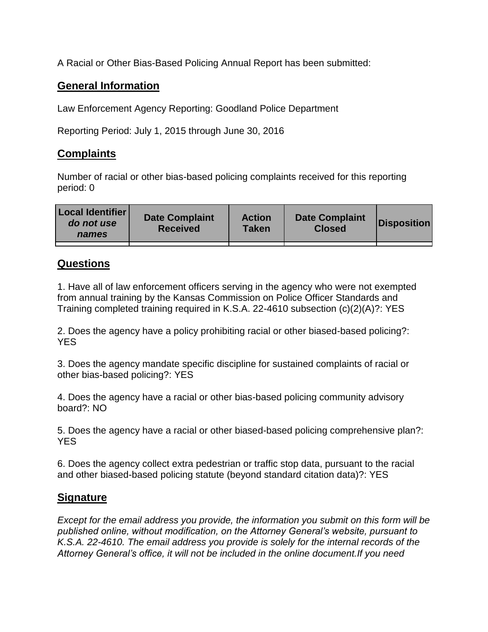A Racial or Other Bias-Based Policing Annual Report has been submitted:

## **General Information**

Law Enforcement Agency Reporting: Goodland Police Department

Reporting Period: July 1, 2015 through June 30, 2016

## **Complaints**

Number of racial or other bias-based policing complaints received for this reporting period: 0

| <b>Local Identifier</b><br>do not use<br>names | <b>Date Complaint</b><br><b>Received</b> | <b>Action</b><br><b>Taken</b> | <b>Date Complaint</b><br><b>Closed</b> | Disposition |
|------------------------------------------------|------------------------------------------|-------------------------------|----------------------------------------|-------------|
|                                                |                                          |                               |                                        |             |

## **Questions**

1. Have all of law enforcement officers serving in the agency who were not exempted from annual training by the Kansas Commission on Police Officer Standards and Training completed training required in K.S.A. 22-4610 subsection (c)(2)(A)?: YES

2. Does the agency have a policy prohibiting racial or other biased-based policing?: YES

3. Does the agency mandate specific discipline for sustained complaints of racial or other bias-based policing?: YES

4. Does the agency have a racial or other bias-based policing community advisory board?: NO

5. Does the agency have a racial or other biased-based policing comprehensive plan?: YES

6. Does the agency collect extra pedestrian or traffic stop data, pursuant to the racial and other biased-based policing statute (beyond standard citation data)?: YES

## **Signature**

*Except for the email address you provide, the information you submit on this form will be published online, without modification, on the Attorney General's website, pursuant to K.S.A. 22-4610. The email address you provide is solely for the internal records of the Attorney General's office, it will not be included in the online document.If you need*